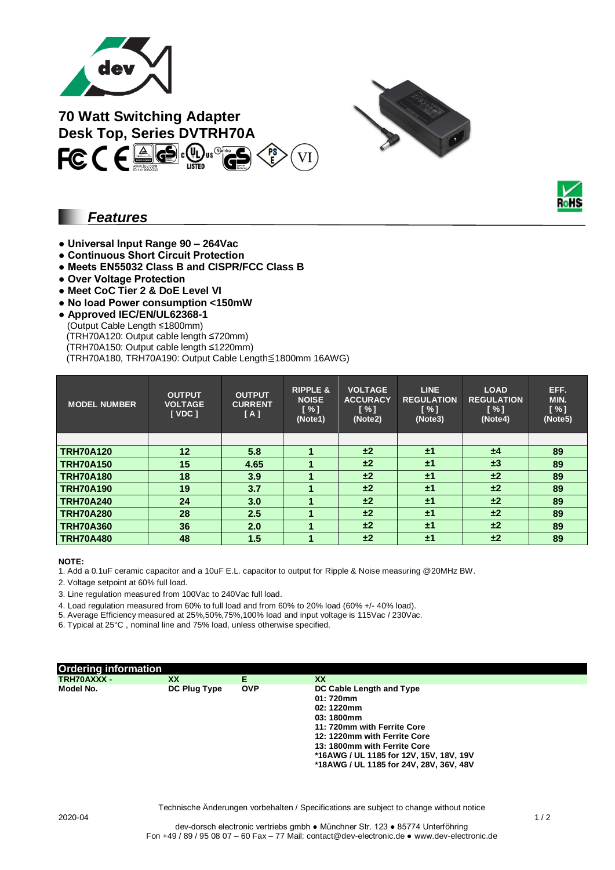

**70 Watt Switching Adapter Desk Top, Series DVTRH70A**<br> **FC (FAGE:** Use Table



### *Features*

- **Universal Input Range 90 – 264Vac**
- **Continuous Short Circuit Protection**
- **Meets EN55032 Class B and CISPR/FCC Class B**
- **Over Voltage Protection**
- **Meet CoC Tier 2 & DoE Level VI**
- **No load Power consumption <150mW**
- **Approved IEC/EN/UL62368-1**
- (Output Cable Length ≤1800mm)
	- (TRH70A120: Output cable length ≤720mm)
- (TRH70A150: Output cable length ≤1220mm)

(TRH70A180, TRH70A190: Output Cable Length≦1800mm 16AWG)

| <b>MODEL NUMBER</b> | <b>OUTPUT</b><br><b>VOLTAGE</b><br>[VDC] | <b>OUTPUT</b><br><b>CURRENT</b><br>[A] | <b>RIPPLE &amp;</b><br><b>NOISE</b><br>[ % ]<br>(Note1) | <b>VOLTAGE</b><br><b>ACCURACY</b><br>[ % ]<br>(Note2) | <b>LINE</b><br><b>REGULATION</b><br>[%]<br>(Note3) | <b>LOAD</b><br><b>REGULATION</b><br>[ % ]<br>(Note4) | EFF.<br>MIN.<br>$N \sim 1$<br>(Note5) |
|---------------------|------------------------------------------|----------------------------------------|---------------------------------------------------------|-------------------------------------------------------|----------------------------------------------------|------------------------------------------------------|---------------------------------------|
|                     |                                          |                                        |                                                         |                                                       |                                                    |                                                      |                                       |
| <b>TRH70A120</b>    | 12                                       | 5.8                                    |                                                         | ±2                                                    | ±1                                                 | ±4                                                   | 89                                    |
| <b>TRH70A150</b>    | 15                                       | 4.65                                   |                                                         | ±2                                                    | ±1                                                 | $\pm 3$                                              | 89                                    |
| <b>TRH70A180</b>    | 18                                       | 3.9                                    |                                                         | ±2                                                    | ±1                                                 | ±2                                                   | 89                                    |
| <b>TRH70A190</b>    | 19                                       | 3.7                                    |                                                         | ±2                                                    | $\pm 1$                                            | ±2                                                   | 89                                    |
| <b>TRH70A240</b>    | 24                                       | 3.0                                    |                                                         | ±2                                                    | ±1                                                 | ±2                                                   | 89                                    |
| <b>TRH70A280</b>    | 28                                       | 2.5                                    |                                                         | ±2                                                    | ±1                                                 | ±2                                                   | 89                                    |
| <b>TRH70A360</b>    | 36                                       | 2.0                                    |                                                         | ±2                                                    | ±1                                                 | ±2                                                   | 89                                    |
| <b>TRH70A480</b>    | 48                                       | 1.5                                    |                                                         | ±2                                                    | ±1                                                 | ±2                                                   | 89                                    |

#### **NOTE:**

1. Add a 0.1uF ceramic capacitor and a 10uF E.L. capacitor to output for Ripple & Noise measuring @20MHz BW.

2. Voltage setpoint at 60% full load.

3. Line regulation measured from 100Vac to 240Vac full load.

4. Load regulation measured from 60% to full load and from 60% to 20% load (60% +/- 40% load).

5. Average Efficiency measured at 25%,50%,75%,100% load and input voltage is 115Vac / 230Vac.

6. Typical at 25°C , nominal line and 75% load, unless otherwise specified.



Technische Änderungen vorbehalten / Specifications are subject to change without notice